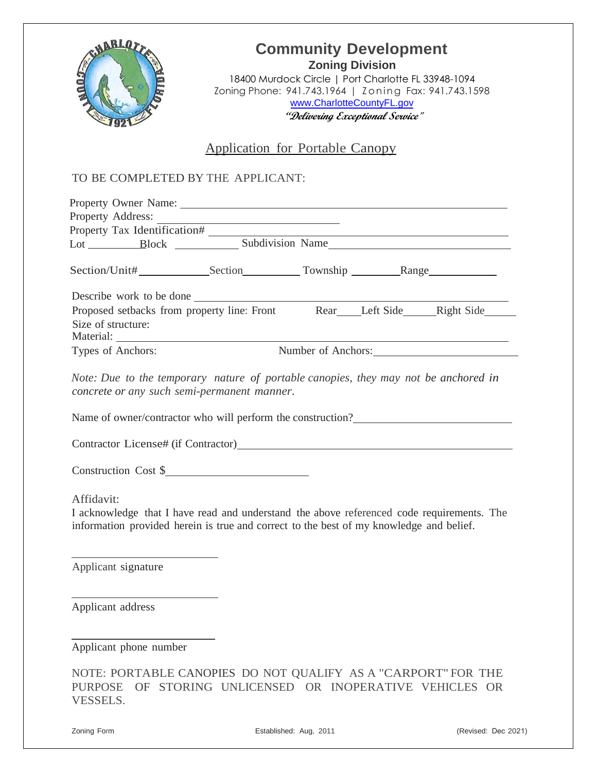

## **Community Development Zoning Division**

18400 Murdock Circle | Port Charlotte FL 33948-1094 Zoning Phone: 941.743.1964 | Zoning Fax: 941.743.1598 [www.CharlotteCountyFL.gov](http://www.charlottecountyfl.gov/) **"Delivering Exceptional Service"**

### Application for Portable Canopy

#### TO BE COMPLETED BY THE APPLICANT:

| Property Owner Name: 1986. The Second Second Second Second Second Second Second Second Second Second Second Second Second Second Second Second Second Second Second Second Second Second Second Second Second Second Second Se |                                                                                                                                                                                                                                |  |                    |
|--------------------------------------------------------------------------------------------------------------------------------------------------------------------------------------------------------------------------------|--------------------------------------------------------------------------------------------------------------------------------------------------------------------------------------------------------------------------------|--|--------------------|
| Property Address:                                                                                                                                                                                                              |                                                                                                                                                                                                                                |  |                    |
| Property Tax Identification#                                                                                                                                                                                                   |                                                                                                                                                                                                                                |  |                    |
|                                                                                                                                                                                                                                |                                                                                                                                                                                                                                |  |                    |
|                                                                                                                                                                                                                                |                                                                                                                                                                                                                                |  |                    |
| Describe work to be done                                                                                                                                                                                                       |                                                                                                                                                                                                                                |  |                    |
| Size of structure:                                                                                                                                                                                                             | Proposed setbacks from property line: Front Rear Left Side Kight Side Kight Side Kight Side Kight Side Kight Side Kight Side Kight Side Kight Side Kight Side Kight Side Kight Side Kight Side Kight Side Kight Side Kight Sid |  |                    |
| Types of Anchors:                                                                                                                                                                                                              |                                                                                                                                                                                                                                |  | Number of Anchors: |
|                                                                                                                                                                                                                                | concrete or any such semi-permanent manner.<br>Name of owner/contractor who will perform the construction?                                                                                                                     |  |                    |
|                                                                                                                                                                                                                                | Construction Cost \$                                                                                                                                                                                                           |  |                    |
| Affidavit:                                                                                                                                                                                                                     | I acknowledge that I have read and understand the above referenced code requirements. The<br>information provided herein is true and correct to the best of my knowledge and belief.                                           |  |                    |
| Applicant signature                                                                                                                                                                                                            |                                                                                                                                                                                                                                |  |                    |
| Applicant address                                                                                                                                                                                                              |                                                                                                                                                                                                                                |  |                    |

Applicant phone number

|          |  | NOTE: PORTABLE CANOPIES DO NOT QUALIFY AS A "CARPORT" FOR THE |  |  |  |
|----------|--|---------------------------------------------------------------|--|--|--|
|          |  | PURPOSE OF STORING UNLICENSED OR INOPERATIVE VEHICLES OR      |  |  |  |
| VESSELS. |  |                                                               |  |  |  |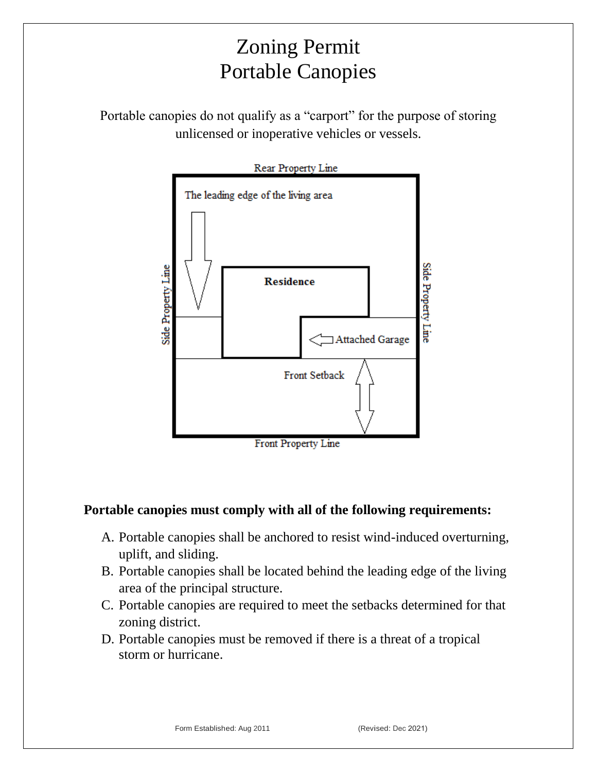# Zoning Permit Portable Canopies

Portable canopies do not qualify as a "carport" for the purpose of storing unlicensed or inoperative vehicles or vessels.



### **Portable canopies must comply with all of the following requirements:**

- A. Portable canopies shall be anchored to resist wind-induced overturning, uplift, and sliding.
- B. Portable canopies shall be located behind the leading edge of the living area of the principal structure.
- C. Portable canopies are required to meet the setbacks determined for that zoning district.
- D. Portable canopies must be removed if there is a threat of a tropical storm or hurricane.